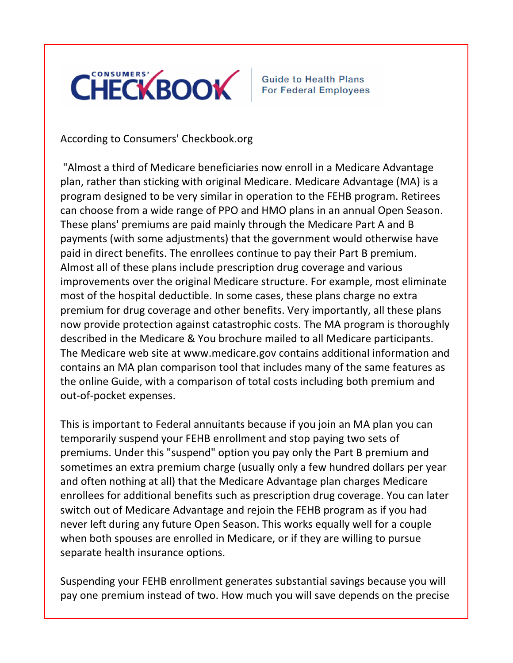

**Guide to Health Plans For Federal Employees** 

According to Consumers' Checkbook.org

 "Almost a third of Medicare beneficiaries now enroll in a Medicare Advantage plan, rather than sticking with original Medicare. Medicare Advantage (MA) is a program designed to be very similar in operation to the FEHB program. Retirees can choose from a wide range of PPO and HMO plans in an annual Open Season. These plans' premiums are paid mainly through the Medicare Part A and B payments (with some adjustments) that the government would otherwise have paid in direct benefits. The enrollees continue to pay their Part B premium. Almost all of these plans include prescription drug coverage and various improvements over the original Medicare structure. For example, most eliminate most of the hospital deductible. In some cases, these plans charge no extra premium for drug coverage and other benefits. Very importantly, all these plans now provide protection against catastrophic costs. The MA program is thoroughly described in the Medicare & You brochure mailed to all Medicare participants. The Medicare web site at www.medicare.gov contains additional information and contains an MA plan comparison tool that includes many of the same features as the online Guide, with a comparison of total costs including both premium and out-of-pocket expenses.

This is important to Federal annuitants because if you join an MA plan you can temporarily suspend your FEHB enrollment and stop paying two sets of premiums. Under this "suspend" option you pay only the Part B premium and sometimes an extra premium charge (usually only a few hundred dollars per year and often nothing at all) that the Medicare Advantage plan charges Medicare enrollees for additional benefits such as prescription drug coverage. You can later switch out of Medicare Advantage and rejoin the FEHB program as if you had never left during any future Open Season. This works equally well for a couple when both spouses are enrolled in Medicare, or if they are willing to pursue separate health insurance options.

Suspending your FEHB enrollment generates substantial savings because you will pay one premium instead of two. How much you will save depends on the precise